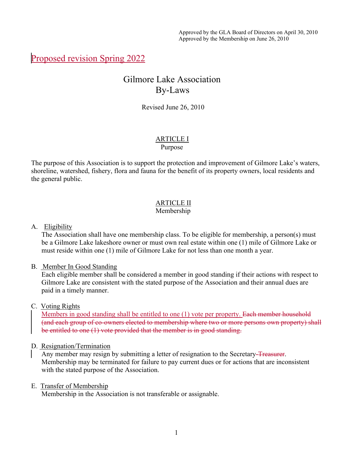# Proposed revision Spring 2022

# Gilmore Lake Association By-Laws

Revised June 26, 2010

# ARTICLE I

#### Purpose

The purpose of this Association is to support the protection and improvement of Gilmore Lake's waters, shoreline, watershed, fishery, flora and fauna for the benefit of its property owners, local residents and the general public.

# ARTICLE II

# Membership

#### A. Eligibility

The Association shall have one membership class. To be eligible for membership, a person(s) must be a Gilmore Lake lakeshore owner or must own real estate within one (1) mile of Gilmore Lake or must reside within one (1) mile of Gilmore Lake for not less than one month a year.

#### B. Member In Good Standing

Each eligible member shall be considered a member in good standing if their actions with respect to Gilmore Lake are consistent with the stated purpose of the Association and their annual dues are paid in a timely manner.

#### C. Voting Rights

Members in good standing shall be entitled to one (1) vote per property. Each member household (and each group of co-owners elected to membership where two or more persons own property) shall be entitled to one (1) vote provided that the member is in good standing.

#### D. Resignation/Termination

Any member may resign by submitting a letter of resignation to the Secretary-Treasurer. Membership may be terminated for failure to pay current dues or for actions that are inconsistent with the stated purpose of the Association.

#### E. Transfer of Membership

Membership in the Association is not transferable or assignable.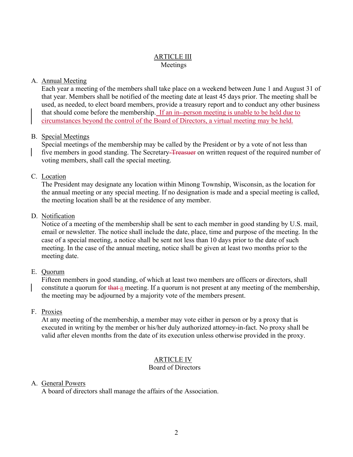#### ARTICLE III Meetings

## A. Annual Meeting

Each year a meeting of the members shall take place on a weekend between June 1 and August 31 of that year. Members shall be notified of the meeting date at least 45 days prior. The meeting shall be used, as needed, to elect board members, provide a treasury report and to conduct any other business that should come before the membership. If an in- person meeting is unable to be held due to circumstances beyond the control of the Board of Directors, a virtual meeting may be held.

#### B. Special Meetings

Special meetings of the membership may be called by the President or by a vote of not less than five members in good standing. The Secretary-Treasuer on written request of the required number of voting members, shall call the special meeting.

#### C. Location

The President may designate any location within Minong Township, Wisconsin, as the location for the annual meeting or any special meeting. If no designation is made and a special meeting is called, the meeting location shall be at the residence of any member.

#### D. Notification

Notice of a meeting of the membership shall be sent to each member in good standing by U.S. mail, email or newsletter. The notice shall include the date, place, time and purpose of the meeting. In the case of a special meeting, a notice shall be sent not less than 10 days prior to the date of such meeting. In the case of the annual meeting, notice shall be given at least two months prior to the meeting date.

## E. Quorum

Fifteen members in good standing, of which at least two members are officers or directors, shall constitute a quorum for that a meeting. If a quorum is not present at any meeting of the membership, the meeting may be adjourned by a majority vote of the members present.

#### F. Proxies

At any meeting of the membership, a member may vote either in person or by a proxy that is executed in writing by the member or his/her duly authorized attorney-in-fact. No proxy shall be valid after eleven months from the date of its execution unless otherwise provided in the proxy.

## ARTICLE IV

#### Board of Directors

#### A. General Powers

A board of directors shall manage the affairs of the Association.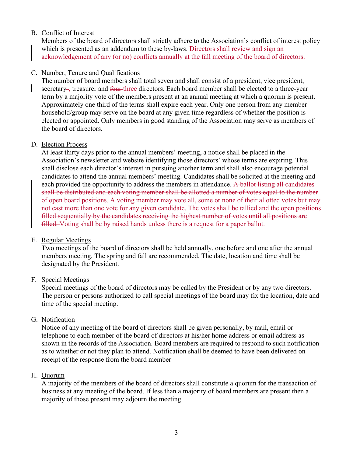## B. Conflict of Interest

Members of the board of directors shall strictly adhere to the Association's conflict of interest policy which is presented as an addendum to these by-laws. Directors shall review and sign an acknowledgement of any (or no) conflicts annually at the fall meeting of the board of directors.

#### C. Number, Tenure and Qualifications

The number of board members shall total seven and shall consist of a president, vice president, secretary-, treasurer and four-three directors. Each board member shall be elected to a three-year term by a majority vote of the members present at an annual meeting at which a quorum is present. Approximately one third of the terms shall expire each year. Only one person from any member household/group may serve on the board at any given time regardless of whether the position is elected or appointed. Only members in good standing of the Association may serve as members of the board of directors.

#### D. Election Process

At least thirty days prior to the annual members' meeting, a notice shall be placed in the Association's newsletter and website identifying those directors' whose terms are expiring. This shall disclose each director's interest in pursuing another term and shall also encourage potential candidates to attend the annual members' meeting. Candidates shall be solicited at the meeting and each provided the opportunity to address the members in attendance. A ballot listing all candidates shall be distributed and each voting member shall be allotted a number of votes equal to the number of open board positions. A voting member may vote all, some or none of their allotted votes but may not cast more than one vote for any given candidate. The votes shall be tallied and the open positions filled sequentially by the candidates receiving the highest number of votes until all positions are filled. Voting shall be by raised hands unless there is a request for a paper ballot.

#### E. Regular Meetings

Two meetings of the board of directors shall be held annually, one before and one after the annual members meeting. The spring and fall are recommended. The date, location and time shall be designated by the President.

#### F. Special Meetings

Special meetings of the board of directors may be called by the President or by any two directors. The person or persons authorized to call special meetings of the board may fix the location, date and time of the special meeting.

#### G. Notification

Notice of any meeting of the board of directors shall be given personally, by mail, email or telephone to each member of the board of directors at his/her home address or email address as shown in the records of the Association. Board members are required to respond to such notification as to whether or not they plan to attend. Notification shall be deemed to have been delivered on receipt of the response from the board member

#### H. Quorum

A majority of the members of the board of directors shall constitute a quorum for the transaction of business at any meeting of the board. If less than a majority of board members are present then a majority of those present may adjourn the meeting.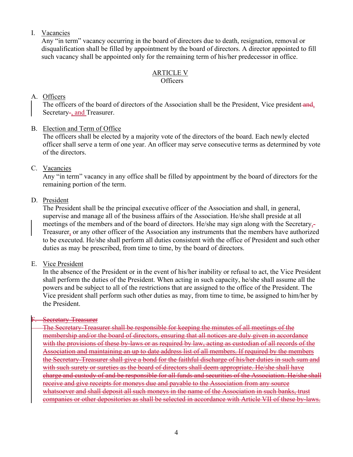## I. Vacancies

Any "in term" vacancy occurring in the board of directors due to death, resignation, removal or disqualification shall be filled by appointment by the board of directors. A director appointed to fill such vacancy shall be appointed only for the remaining term of his/her predecessor in office.

# ARTICLE V

#### **Officers**

## A. Officers

The officers of the board of directors of the Association shall be the President, Vice president and, Secretary-, and Treasurer.

## B. Election and Term of Office

The officers shall be elected by a majority vote of the directors of the board. Each newly elected officer shall serve a term of one year. An officer may serve consecutive terms as determined by vote of the directors.

## C. Vacancies

Any "in term" vacancy in any office shall be filled by appointment by the board of directors for the remaining portion of the term.

## D. President

The President shall be the principal executive officer of the Association and shall, in general, supervise and manage all of the business affairs of the Association. He/she shall preside at all meetings of the members and of the board of directors. He/she may sign along with the Secretary,- Treasurer, or any other officer of the Association any instruments that the members have authorized to be executed. He/she shall perform all duties consistent with the office of President and such other duties as may be prescribed, from time to time, by the board of directors.

#### E. Vice President

In the absence of the President or in the event of his/her inability or refusal to act, the Vice President shall perform the duties of the President. When acting in such capacity, he/she shall assume all the powers and be subject to all of the restrictions that are assigned to the office of the President. The Vice president shall perform such other duties as may, from time to time, be assigned to him/her by the President.

## Secretary-Treasurer

The Secretary-Treasurer shall be responsible for keeping the minutes of all meetings of the membership and/or the board of directors, ensuring that all notices are duly given in accordance with the provisions of these by-laws or as required by law, acting as custodian of all records of the Association and maintaining an up to date address list of all members. If required by the members the Secretary-Treasurer shall give a bond for the faithful discharge of his/her duties in such sum and with such surety or sureties as the board of directors shall deem appropriate. He/she shall have charge and custody of and be responsible for all funds and securities of the Association. He/she shall receive and give receipts for moneys due and payable to the Association from any source whatsoever and shall deposit all such moneys in the name of the Association in such banks, trust companies or other depositories as shall be selected in accordance with Article VII of these by-laws.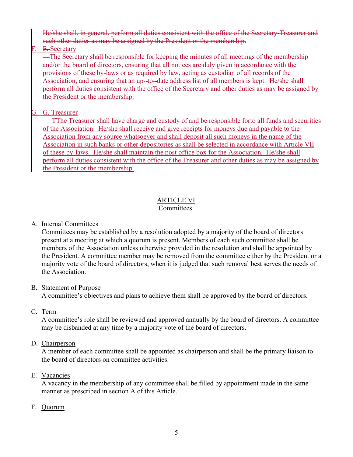He/she shall, in general, perform all duties consistent with the office of the Secretary-Treasurer and such other duties as may be assigned by the President or the membership.

F. F. Secretary

—The Secretary shall be responsible for keeping the minutes of all meetings of the membership and/or the board of directors, ensuring that all notices are duly given in accordance with the provisions of these by-laws or as required by law, acting as custodian of all records of the Association, and ensuring that an up-to--date address list of all members is kept. He/she shall perform all duties consistent with the office of the Secretary and other duties as may be assigned by the President or the membership.

# G. <del>G.</del>Treasurer

TThe Treasurer shall have charge and custody of and be responsible forto all funds and securities of the Association. He/she shall receive and give receipts for moneys due and payable to the Association from any source whatsoever and shall deposit all such moneys in the name of the Association in such banks or other depositories as shall be selected in accordance with Article VII of these by-laws. He/she shall maintain the post office box for the Association. He/she shall perform all duties consistent with the office of the Treasurer and other duties as may be assigned by the President or the membership.

# ARTICLE VI

# **Committees**

# A. Internal Committees

Committees may be established by a resolution adopted by a majority of the board of directors present at a meeting at which a quorum is present. Members of each such committee shall be members of the Association unless otherwise provided in the resolution and shall be appointed by the President. A committee member may be removed from the committee either by the President or a majority vote of the board of directors, when it is judged that such removal best serves the needs of the Association.

# B. Statement of Purpose

A committee's objectives and plans to achieve them shall be approved by the board of directors.

# C. Term

A committee's role shall be reviewed and approved annually by the board of directors. A committee may be disbanded at any time by a majority vote of the board of directors.

# D. Chairperson

A member of each committee shall be appointed as chairperson and shall be the primary liaison to the board of directors on committee activities.

# E. Vacancies

A vacancy in the membership of any committee shall be filled by appointment made in the same manner as prescribed in section A of this Article.

# F. Quorum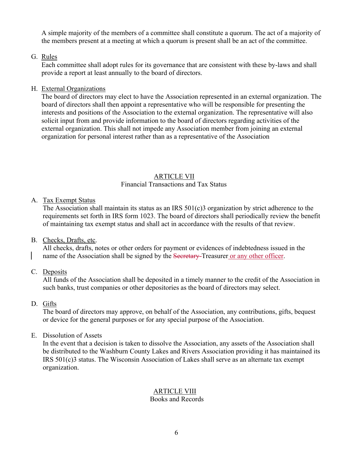A simple majority of the members of a committee shall constitute a quorum. The act of a majority of the members present at a meeting at which a quorum is present shall be an act of the committee.

# G. Rules

Each committee shall adopt rules for its governance that are consistent with these by-laws and shall provide a report at least annually to the board of directors.

## H. External Organizations

The board of directors may elect to have the Association represented in an external organization. The board of directors shall then appoint a representative who will be responsible for presenting the interests and positions of the Association to the external organization. The representative will also solicit input from and provide information to the board of directors regarding activities of the external organization. This shall not impede any Association member from joining an external organization for personal interest rather than as a representative of the Association

# ARTICLE VII

## Financial Transactions and Tax Status

# A. Tax Exempt Status

The Association shall maintain its status as an IRS 501(c)3 organization by strict adherence to the requirements set forth in IRS form 1023. The board of directors shall periodically review the benefit of maintaining tax exempt status and shall act in accordance with the results of that review.

# B. Checks, Drafts, etc.

All checks, drafts, notes or other orders for payment or evidences of indebtedness issued in the name of the Association shall be signed by the Secretary-Treasurer or any other officer.

C. Deposits

All funds of the Association shall be deposited in a timely manner to the credit of the Association in such banks, trust companies or other depositories as the board of directors may select.

# D. Gifts

The board of directors may approve, on behalf of the Association, any contributions, gifts, bequest or device for the general purposes or for any special purpose of the Association.

# E. Dissolution of Assets

In the event that a decision is taken to dissolve the Association, any assets of the Association shall be distributed to the Washburn County Lakes and Rivers Association providing it has maintained its IRS 501(c)3 status. The Wisconsin Association of Lakes shall serve as an alternate tax exempt organization.

#### ARTICLE VIII Books and Records